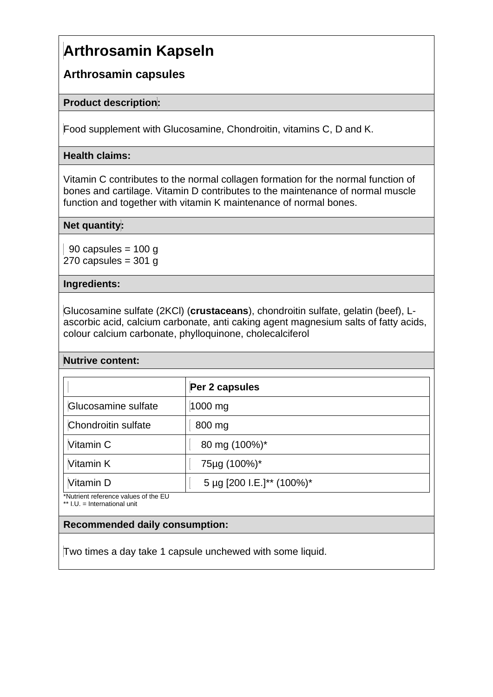# **Arthrosamin Kapseln**

# **Arthrosamin capsules**

# **Product description:**

Food supplement with Glucosamine, Chondroitin, vitamins C, D and K.

# **Health claims:**

Vitamin C contributes to the normal collagen formation for the normal function of bones and cartilage. Vitamin D contributes to the maintenance of normal muscle function and together with vitamin K maintenance of normal bones.

## **Net quantity:**

90 capsules =  $100q$ 270 capsules  $=$  301 g

#### **Ingredients:**

Glucosamine sulfate (2KCl) (**crustaceans**), chondroitin sulfate, gelatin (beef), Lascorbic acid, calcium carbonate, anti caking agent magnesium salts of fatty acids, colour calcium carbonate, phylloquinone, cholecalciferol

## **Nutrive content:**

| Per 2 capsules            |
|---------------------------|
| 1000 mg                   |
| 800 mg                    |
| 80 mg (100%)*             |
| 75µg (100%)*              |
| 5 µg [200 I.E.]** (100%)* |
|                           |

\*\* I.U. = International unit

## **Recommended daily consumption:**

Two times a day take 1 capsule unchewed with some liquid.